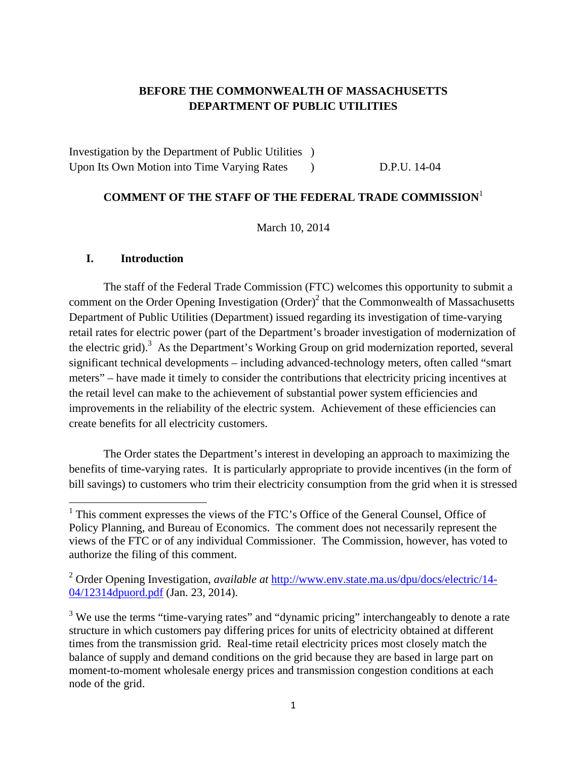## **BEFORE THE COMMONWEALTH OF MASSACHUSETTS DEPARTMENT OF PUBLIC UTILITIES**

Investigation by the Department of Public Utilities ) Upon Its Own Motion into Time Varying Rates (b) D.P.U. 14-04

## **COMMENT OF THE STAFF OF THE FEDERAL TRADE COMMISSION**<sup>1</sup>

March 10, 2014

#### **I. Introduction**

The staff of the Federal Trade Commission (FTC) welcomes this opportunity to submit a comment on the Order Opening Investigation  $(Order)^2$  that the Commonwealth of Massachusetts Department of Public Utilities (Department) issued regarding its investigation of time-varying retail rates for electric power (part of the Department's broader investigation of modernization of the electric grid).<sup>3</sup> As the Department's Working Group on grid modernization reported, several significant technical developments – including advanced-technology meters, often called "smart meters" – have made it timely to consider the contributions that electricity pricing incentives at the retail level can make to the achievement of substantial power system efficiencies and improvements in the reliability of the electric system. Achievement of these efficiencies can create benefits for all electricity customers.

The Order states the Department's interest in developing an approach to maximizing the benefits of time-varying rates. It is particularly appropriate to provide incentives (in the form of bill savings) to customers who trim their electricity consumption from the grid when it is stressed

<sup>&</sup>lt;sup>1</sup> This comment expresses the views of the FTC's Office of the General Counsel, Office of Policy Planning, and Bureau of Economics. The comment does not necessarily represent the views of the FTC or of any individual Commissioner. The Commission, however, has voted to authorize the filing of this comment.

<sup>2</sup> Order Opening Investigation, *available at* http://www.env.state.ma.us/dpu/docs/electric/14- 04/12314dpuord.pdf (Jan. 23, 2014).

 $3$  We use the terms "time-varying rates" and "dynamic pricing" interchangeably to denote a rate structure in which customers pay differing prices for units of electricity obtained at different times from the transmission grid. Real-time retail electricity prices most closely match the balance of supply and demand conditions on the grid because they are based in large part on moment-to-moment wholesale energy prices and transmission congestion conditions at each node of the grid.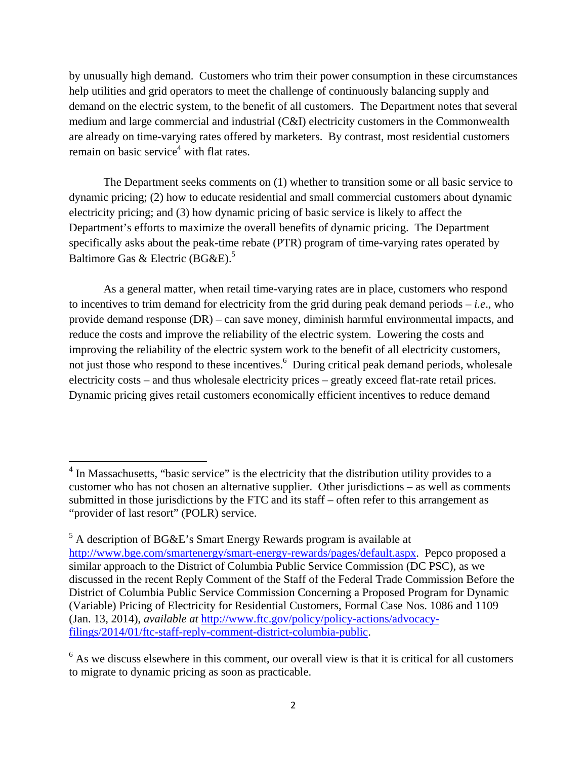by unusually high demand. Customers who trim their power consumption in these circumstances help utilities and grid operators to meet the challenge of continuously balancing supply and demand on the electric system, to the benefit of all customers. The Department notes that several medium and large commercial and industrial (C&I) electricity customers in the Commonwealth are already on time-varying rates offered by marketers. By contrast, most residential customers remain on basic service<sup>4</sup> with flat rates.

The Department seeks comments on (1) whether to transition some or all basic service to dynamic pricing; (2) how to educate residential and small commercial customers about dynamic electricity pricing; and (3) how dynamic pricing of basic service is likely to affect the Department's efforts to maximize the overall benefits of dynamic pricing. The Department specifically asks about the peak-time rebate (PTR) program of time-varying rates operated by Baltimore Gas & Electric (BG&E).<sup>5</sup>

As a general matter, when retail time-varying rates are in place, customers who respond to incentives to trim demand for electricity from the grid during peak demand periods – *i.e*., who provide demand response (DR) – can save money, diminish harmful environmental impacts, and reduce the costs and improve the reliability of the electric system. Lowering the costs and improving the reliability of the electric system work to the benefit of all electricity customers, not just those who respond to these incentives. <sup>6</sup> During critical peak demand periods, wholesale electricity costs – and thus wholesale electricity prices – greatly exceed flat-rate retail prices. Dynamic pricing gives retail customers economically efficient incentives to reduce demand

 $4$  In Massachusetts, "basic service" is the electricity that the distribution utility provides to a customer who has not chosen an alternative supplier. Other jurisdictions – as well as comments submitted in those jurisdictions by the FTC and its staff – often refer to this arrangement as "provider of last resort" (POLR) service.

 $<sup>5</sup>$  A description of BG&E's Smart Energy Rewards program is available at</sup> http://www.bge.com/smartenergy/smart-energy-rewards/pages/default.aspx. Pepco proposed a similar approach to the District of Columbia Public Service Commission (DC PSC), as we discussed in the recent Reply Comment of the Staff of the Federal Trade Commission Before the District of Columbia Public Service Commission Concerning a Proposed Program for Dynamic (Variable) Pricing of Electricity for Residential Customers, Formal Case Nos. 1086 and 1109 (Jan. 13, 2014), *available at* http://www.ftc.gov/policy/policy-actions/advocacyfilings/2014/01/ftc-staff-reply-comment-district-columbia-public.

 $<sup>6</sup>$  As we discuss elsewhere in this comment, our overall view is that it is critical for all customers</sup> to migrate to dynamic pricing as soon as practicable.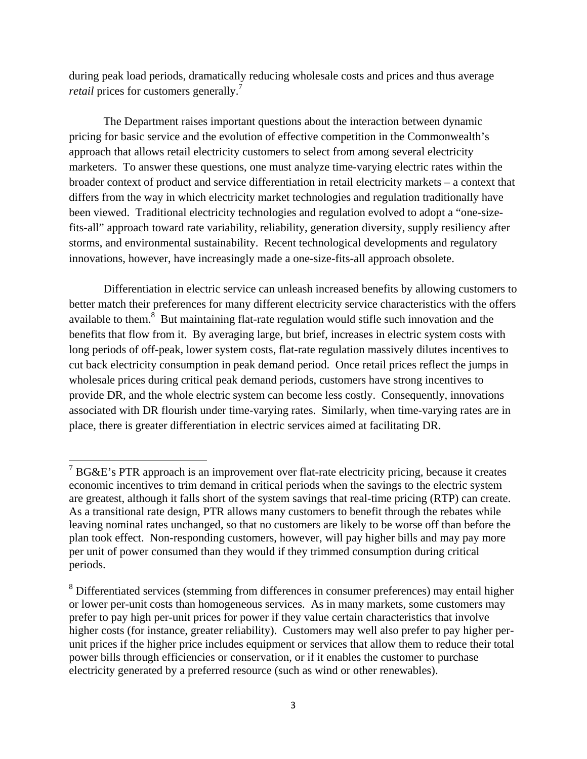during peak load periods, dramatically reducing wholesale costs and prices and thus average *retail* prices for customers generally.<sup>7</sup>

The Department raises important questions about the interaction between dynamic pricing for basic service and the evolution of effective competition in the Commonwealth's approach that allows retail electricity customers to select from among several electricity marketers. To answer these questions, one must analyze time-varying electric rates within the broader context of product and service differentiation in retail electricity markets – a context that differs from the way in which electricity market technologies and regulation traditionally have been viewed. Traditional electricity technologies and regulation evolved to adopt a "one-sizefits-all" approach toward rate variability, reliability, generation diversity, supply resiliency after storms, and environmental sustainability. Recent technological developments and regulatory innovations, however, have increasingly made a one-size-fits-all approach obsolete.

Differentiation in electric service can unleash increased benefits by allowing customers to better match their preferences for many different electricity service characteristics with the offers available to them.<sup>8</sup> But maintaining flat-rate regulation would stifle such innovation and the benefits that flow from it. By averaging large, but brief, increases in electric system costs with long periods of off-peak, lower system costs, flat-rate regulation massively dilutes incentives to cut back electricity consumption in peak demand period. Once retail prices reflect the jumps in wholesale prices during critical peak demand periods, customers have strong incentives to provide DR, and the whole electric system can become less costly. Consequently, innovations associated with DR flourish under time-varying rates. Similarly, when time-varying rates are in place, there is greater differentiation in electric services aimed at facilitating DR.

<sup>&</sup>lt;sup>7</sup> BG&E's PTR approach is an improvement over flat-rate electricity pricing, because it creates economic incentives to trim demand in critical periods when the savings to the electric system are greatest, although it falls short of the system savings that real-time pricing (RTP) can create. As a transitional rate design, PTR allows many customers to benefit through the rebates while leaving nominal rates unchanged, so that no customers are likely to be worse off than before the plan took effect. Non-responding customers, however, will pay higher bills and may pay more per unit of power consumed than they would if they trimmed consumption during critical periods.

<sup>&</sup>lt;sup>8</sup> Differentiated services (stemming from differences in consumer preferences) may entail higher or lower per-unit costs than homogeneous services. As in many markets, some customers may prefer to pay high per-unit prices for power if they value certain characteristics that involve higher costs (for instance, greater reliability). Customers may well also prefer to pay higher perunit prices if the higher price includes equipment or services that allow them to reduce their total power bills through efficiencies or conservation, or if it enables the customer to purchase electricity generated by a preferred resource (such as wind or other renewables).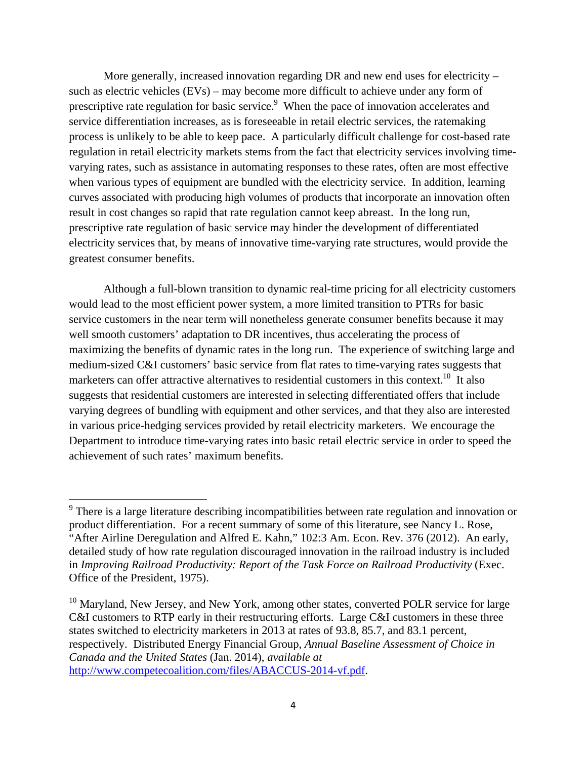More generally, increased innovation regarding DR and new end uses for electricity – such as electric vehicles (EVs) – may become more difficult to achieve under any form of prescriptive rate regulation for basic service.<sup>9</sup> When the pace of innovation accelerates and service differentiation increases, as is foreseeable in retail electric services, the ratemaking process is unlikely to be able to keep pace. A particularly difficult challenge for cost-based rate regulation in retail electricity markets stems from the fact that electricity services involving timevarying rates, such as assistance in automating responses to these rates, often are most effective when various types of equipment are bundled with the electricity service. In addition, learning curves associated with producing high volumes of products that incorporate an innovation often result in cost changes so rapid that rate regulation cannot keep abreast. In the long run, prescriptive rate regulation of basic service may hinder the development of differentiated electricity services that, by means of innovative time-varying rate structures, would provide the greatest consumer benefits.

Although a full-blown transition to dynamic real-time pricing for all electricity customers would lead to the most efficient power system, a more limited transition to PTRs for basic service customers in the near term will nonetheless generate consumer benefits because it may well smooth customers' adaptation to DR incentives, thus accelerating the process of maximizing the benefits of dynamic rates in the long run. The experience of switching large and medium-sized C&I customers' basic service from flat rates to time-varying rates suggests that marketers can offer attractive alternatives to residential customers in this context.<sup>10</sup> It also suggests that residential customers are interested in selecting differentiated offers that include varying degrees of bundling with equipment and other services, and that they also are interested in various price-hedging services provided by retail electricity marketers. We encourage the Department to introduce time-varying rates into basic retail electric service in order to speed the achievement of such rates' maximum benefits.

<sup>&</sup>lt;sup>9</sup> There is a large literature describing incompatibilities between rate regulation and innovation or product differentiation. For a recent summary of some of this literature, see Nancy L. Rose, "After Airline Deregulation and Alfred E. Kahn," 102:3 Am. Econ. Rev. 376 (2012). An early, detailed study of how rate regulation discouraged innovation in the railroad industry is included in *Improving Railroad Productivity: Report of the Task Force on Railroad Productivity* (Exec. Office of the President, 1975).

<sup>&</sup>lt;sup>10</sup> Maryland, New Jersey, and New York, among other states, converted POLR service for large C&I customers to RTP early in their restructuring efforts. Large C&I customers in these three states switched to electricity marketers in 2013 at rates of 93.8, 85.7, and 83.1 percent, respectively. Distributed Energy Financial Group, *Annual Baseline Assessment of Choice in Canada and the United States* (Jan. 2014), *available at* http://www.competecoalition.com/files/ABACCUS-2014-vf.pdf.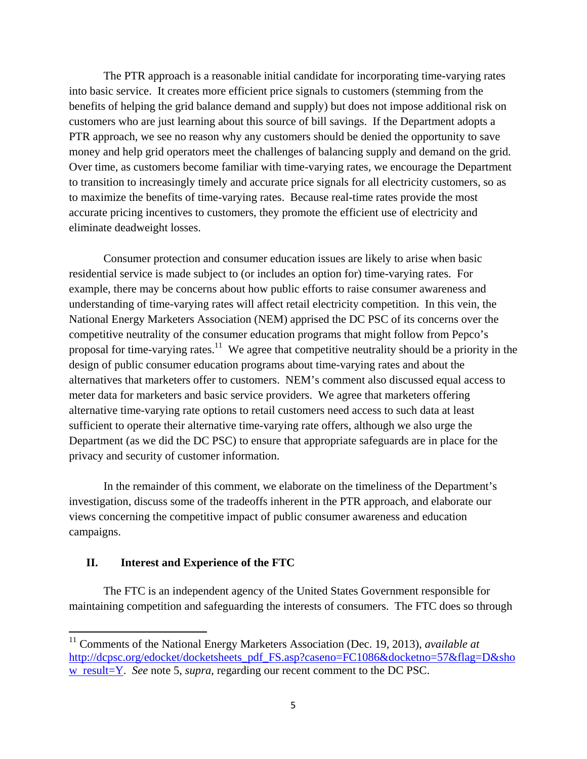The PTR approach is a reasonable initial candidate for incorporating time-varying rates into basic service. It creates more efficient price signals to customers (stemming from the benefits of helping the grid balance demand and supply) but does not impose additional risk on customers who are just learning about this source of bill savings. If the Department adopts a PTR approach, we see no reason why any customers should be denied the opportunity to save money and help grid operators meet the challenges of balancing supply and demand on the grid. Over time, as customers become familiar with time-varying rates, we encourage the Department to transition to increasingly timely and accurate price signals for all electricity customers, so as to maximize the benefits of time-varying rates. Because real-time rates provide the most accurate pricing incentives to customers, they promote the efficient use of electricity and eliminate deadweight losses.

Consumer protection and consumer education issues are likely to arise when basic residential service is made subject to (or includes an option for) time-varying rates. For example, there may be concerns about how public efforts to raise consumer awareness and understanding of time-varying rates will affect retail electricity competition. In this vein, the National Energy Marketers Association (NEM) apprised the DC PSC of its concerns over the competitive neutrality of the consumer education programs that might follow from Pepco's proposal for time-varying rates.<sup>11</sup> We agree that competitive neutrality should be a priority in the design of public consumer education programs about time-varying rates and about the alternatives that marketers offer to customers. NEM's comment also discussed equal access to meter data for marketers and basic service providers. We agree that marketers offering alternative time-varying rate options to retail customers need access to such data at least sufficient to operate their alternative time-varying rate offers, although we also urge the Department (as we did the DC PSC) to ensure that appropriate safeguards are in place for the privacy and security of customer information.

In the remainder of this comment, we elaborate on the timeliness of the Department's investigation, discuss some of the tradeoffs inherent in the PTR approach, and elaborate our views concerning the competitive impact of public consumer awareness and education campaigns.

#### **II. Interest and Experience of the FTC**

The FTC is an independent agency of the United States Government responsible for maintaining competition and safeguarding the interests of consumers. The FTC does so through

<sup>11</sup> Comments of the National Energy Marketers Association (Dec. 19, 2013), *available at* http://dcpsc.org/edocket/docketsheets\_pdf\_FS.asp?caseno=FC1086&docketno=57&flag=D&sho w result=Y. *See* note 5, *supra*, regarding our recent comment to the DC PSC.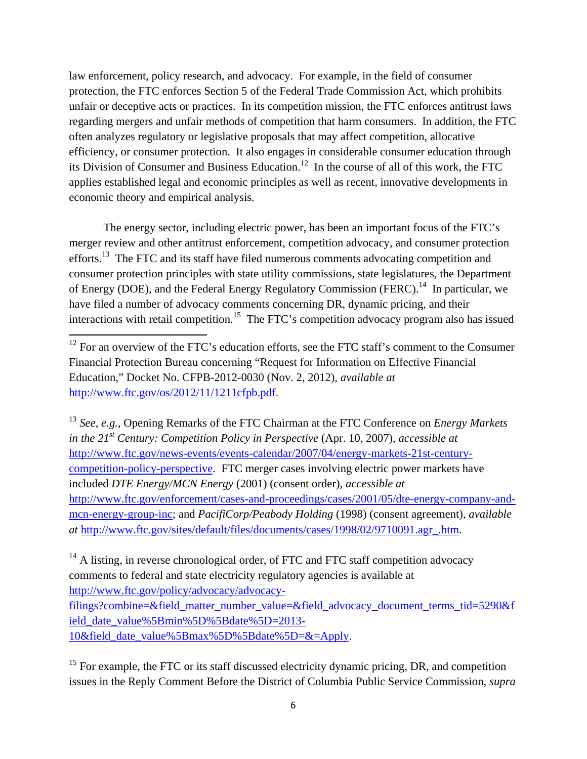law enforcement, policy research, and advocacy. For example, in the field of consumer protection, the FTC enforces Section 5 of the Federal Trade Commission Act, which prohibits unfair or deceptive acts or practices. In its competition mission, the FTC enforces antitrust laws regarding mergers and unfair methods of competition that harm consumers. In addition, the FTC often analyzes regulatory or legislative proposals that may affect competition, allocative efficiency, or consumer protection. It also engages in considerable consumer education through its Division of Consumer and Business Education.<sup>12</sup> In the course of all of this work, the FTC applies established legal and economic principles as well as recent, innovative developments in economic theory and empirical analysis.

The energy sector, including electric power, has been an important focus of the FTC's merger review and other antitrust enforcement, competition advocacy, and consumer protection efforts.<sup>13</sup> The FTC and its staff have filed numerous comments advocating competition and consumer protection principles with state utility commissions, state legislatures, the Department of Energy (DOE), and the Federal Energy Regulatory Commission (FERC).<sup>14</sup> In particular, we have filed a number of advocacy comments concerning DR, dynamic pricing, and their interactions with retail competition.<sup>15</sup> The FTC's competition advocacy program also has issued

<sup>13</sup> *See*, *e.g.*, Opening Remarks of the FTC Chairman at the FTC Conference on *Energy Markets in the 21st Century: Competition Policy in Perspective* (Apr. 10, 2007), *accessible at* http://www.ftc.gov/news-events/events-calendar/2007/04/energy-markets-21st-centurycompetition-policy-perspective. FTC merger cases involving electric power markets have included *DTE Energy/MCN Energy* (2001) (consent order), *accessible at* http://www.ftc.gov/enforcement/cases-and-proceedings/cases/2001/05/dte-energy-company-andmcn-energy-group-inc; and *PacifiCorp/Peabody Holding* (1998) (consent agreement), *available at* http://www.ftc.gov/sites/default/files/documents/cases/1998/02/9710091.agr\_.htm.

 $14$  A listing, in reverse chronological order, of FTC and FTC staff competition advocacy comments to federal and state electricity regulatory agencies is available at http://www.ftc.gov/policy/advocacy/advocacyfilings?combine=&field\_matter\_number\_value=&field\_advocacy\_document\_terms\_tid=5290&f ield\_date\_value%5Bmin%5D%5Bdate%5D=2013- 10&field\_date\_value%5Bmax%5D%5Bdate%5D=&=Apply.

 $15$  For example, the FTC or its staff discussed electricity dynamic pricing, DR, and competition issues in the Reply Comment Before the District of Columbia Public Service Commission, *supra*

 $12$  For an overview of the FTC's education efforts, see the FTC staff's comment to the Consumer Financial Protection Bureau concerning "Request for Information on Effective Financial Education," Docket No. CFPB-2012-0030 (Nov. 2, 2012), *available at*  http://www.ftc.gov/os/2012/11/1211cfpb.pdf.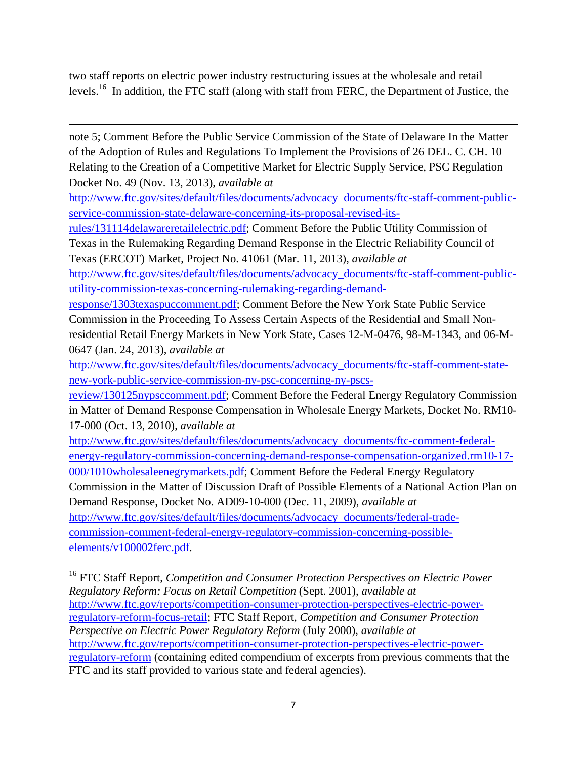two staff reports on electric power industry restructuring issues at the wholesale and retail levels.<sup>16</sup> In addition, the FTC staff (along with staff from FERC, the Department of Justice, the

note 5; Comment Before the Public Service Commission of the State of Delaware In the Matter of the Adoption of Rules and Regulations To Implement the Provisions of 26 DEL. C. CH. 10 Relating to the Creation of a Competitive Market for Electric Supply Service, PSC Regulation Docket No. 49 (Nov. 13, 2013), *available at*

<u> 1989 - Johann Stoff, amerikansk politiker (d. 1989)</u>

http://www.ftc.gov/sites/default/files/documents/advocacy documents/ftc-staff-comment-publicservice-commission-state-delaware-concerning-its-proposal-revised-its-

rules/131114delawareretailelectric.pdf; Comment Before the Public Utility Commission of Texas in the Rulemaking Regarding Demand Response in the Electric Reliability Council of

Texas (ERCOT) Market, Project No. 41061 (Mar. 11, 2013), *available at* http://www.ftc.gov/sites/default/files/documents/advocacy\_documents/ftc-staff-comment-publicutility-commission-texas-concerning-rulemaking-regarding-demand-

response/1303texaspuccomment.pdf; Comment Before the New York State Public Service Commission in the Proceeding To Assess Certain Aspects of the Residential and Small Nonresidential Retail Energy Markets in New York State, Cases 12-M-0476, 98-M-1343, and 06-M-0647 (Jan. 24, 2013), *available at*

http://www.ftc.gov/sites/default/files/documents/advocacy\_documents/ftc-staff-comment-statenew-york-public-service-commission-ny-psc-concerning-ny-pscs-

review/130125nypsccomment.pdf; Comment Before the Federal Energy Regulatory Commission in Matter of Demand Response Compensation in Wholesale Energy Markets, Docket No. RM10- 17-000 (Oct. 13, 2010), *available at*

http://www.ftc.gov/sites/default/files/documents/advocacy documents/ftc-comment-federalenergy-regulatory-commission-concerning-demand-response-compensation-organized.rm10-17- 000/1010wholesaleenegrymarkets.pdf; Comment Before the Federal Energy Regulatory Commission in the Matter of Discussion Draft of Possible Elements of a National Action Plan on Demand Response, Docket No. AD09-10-000 (Dec. 11, 2009), *available at* http://www.ftc.gov/sites/default/files/documents/advocacy documents/federal-tradecommission-comment-federal-energy-regulatory-commission-concerning-possibleelements/v100002ferc.pdf.

16 FTC Staff Report, *Competition and Consumer Protection Perspectives on Electric Power Regulatory Reform: Focus on Retail Competition* (Sept. 2001), *available at* http://www.ftc.gov/reports/competition-consumer-protection-perspectives-electric-powerregulatory-reform-focus-retail; FTC Staff Report, *Competition and Consumer Protection Perspective on Electric Power Regulatory Reform* (July 2000), *available at*  http://www.ftc.gov/reports/competition-consumer-protection-perspectives-electric-powerregulatory-reform (containing edited compendium of excerpts from previous comments that the FTC and its staff provided to various state and federal agencies).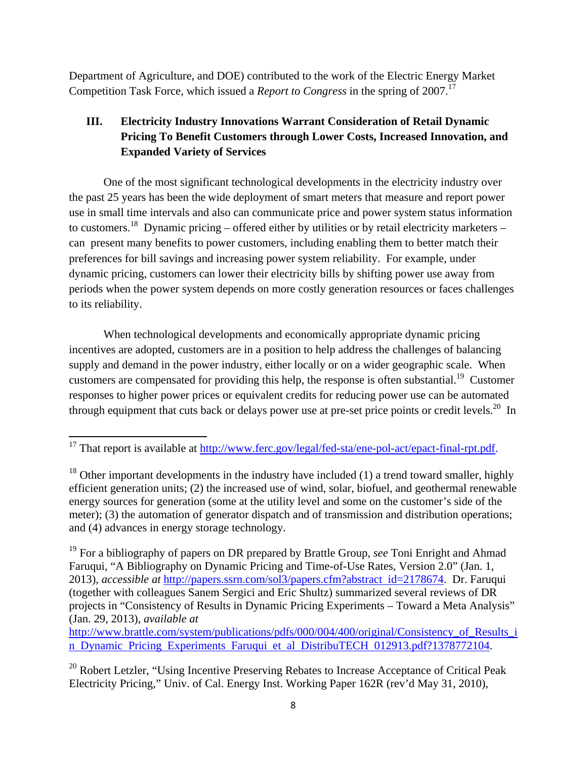Department of Agriculture, and DOE) contributed to the work of the Electric Energy Market Competition Task Force, which issued a *Report to Congress* in the spring of 2007.<sup>17</sup>

# **III. Electricity Industry Innovations Warrant Consideration of Retail Dynamic Pricing To Benefit Customers through Lower Costs, Increased Innovation, and Expanded Variety of Services**

One of the most significant technological developments in the electricity industry over the past 25 years has been the wide deployment of smart meters that measure and report power use in small time intervals and also can communicate price and power system status information to customers.<sup>18</sup> Dynamic pricing – offered either by utilities or by retail electricity marketers – can present many benefits to power customers, including enabling them to better match their preferences for bill savings and increasing power system reliability. For example, under dynamic pricing, customers can lower their electricity bills by shifting power use away from periods when the power system depends on more costly generation resources or faces challenges to its reliability.

When technological developments and economically appropriate dynamic pricing incentives are adopted, customers are in a position to help address the challenges of balancing supply and demand in the power industry, either locally or on a wider geographic scale. When customers are compensated for providing this help, the response is often substantial.<sup>19</sup> Customer responses to higher power prices or equivalent credits for reducing power use can be automated through equipment that cuts back or delays power use at pre-set price points or credit levels.<sup>20</sup> In

http://www.brattle.com/system/publications/pdfs/000/004/400/original/Consistency of Results i n Dynamic Pricing Experiments Faruqui et al DistribuTECH 012913.pdf?1378772104.

 $20$  Robert Letzler, "Using Incentive Preserving Rebates to Increase Acceptance of Critical Peak Electricity Pricing," Univ. of Cal. Energy Inst. Working Paper 162R (rev'd May 31, 2010),

 <sup>17</sup> That report is available at <u>http://www.ferc.gov/legal/fed-sta/ene-pol-act/epact-final-rpt.pdf</u>.

 $18$  Other important developments in the industry have included (1) a trend toward smaller, highly efficient generation units; (2) the increased use of wind, solar, biofuel, and geothermal renewable energy sources for generation (some at the utility level and some on the customer's side of the meter); (3) the automation of generator dispatch and of transmission and distribution operations; and (4) advances in energy storage technology.

<sup>19</sup> For a bibliography of papers on DR prepared by Brattle Group, *see* Toni Enright and Ahmad Faruqui, "A Bibliography on Dynamic Pricing and Time-of-Use Rates, Version 2.0" (Jan. 1, 2013), *accessible at* http://papers.ssrn.com/sol3/papers.cfm?abstract id=2178674. Dr. Faruqui (together with colleagues Sanem Sergici and Eric Shultz) summarized several reviews of DR projects in "Consistency of Results in Dynamic Pricing Experiments – Toward a Meta Analysis" (Jan. 29, 2013), *available at*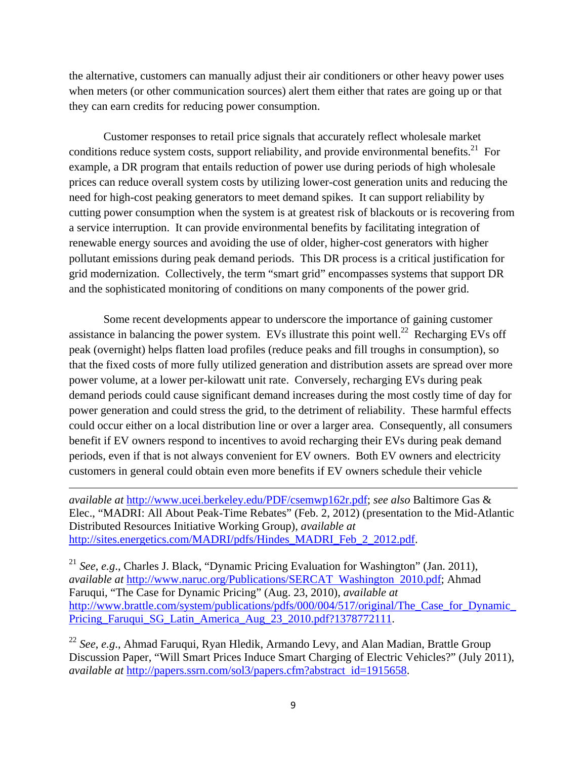the alternative, customers can manually adjust their air conditioners or other heavy power uses when meters (or other communication sources) alert them either that rates are going up or that they can earn credits for reducing power consumption.

Customer responses to retail price signals that accurately reflect wholesale market conditions reduce system costs, support reliability, and provide environmental benefits.<sup>21</sup> For example, a DR program that entails reduction of power use during periods of high wholesale prices can reduce overall system costs by utilizing lower-cost generation units and reducing the need for high-cost peaking generators to meet demand spikes. It can support reliability by cutting power consumption when the system is at greatest risk of blackouts or is recovering from a service interruption. It can provide environmental benefits by facilitating integration of renewable energy sources and avoiding the use of older, higher-cost generators with higher pollutant emissions during peak demand periods. This DR process is a critical justification for grid modernization. Collectively, the term "smart grid" encompasses systems that support DR and the sophisticated monitoring of conditions on many components of the power grid.

Some recent developments appear to underscore the importance of gaining customer assistance in balancing the power system. EVs illustrate this point well.<sup>22</sup> Recharging EVs off peak (overnight) helps flatten load profiles (reduce peaks and fill troughs in consumption), so that the fixed costs of more fully utilized generation and distribution assets are spread over more power volume, at a lower per-kilowatt unit rate. Conversely, recharging EVs during peak demand periods could cause significant demand increases during the most costly time of day for power generation and could stress the grid, to the detriment of reliability. These harmful effects could occur either on a local distribution line or over a larger area. Consequently, all consumers benefit if EV owners respond to incentives to avoid recharging their EVs during peak demand periods, even if that is not always convenient for EV owners. Both EV owners and electricity customers in general could obtain even more benefits if EV owners schedule their vehicle

*available at* http://www.ucei.berkeley.edu/PDF/csemwp162r.pdf; *see also* Baltimore Gas & Elec., "MADRI: All About Peak-Time Rebates" (Feb. 2, 2012) (presentation to the Mid-Atlantic Distributed Resources Initiative Working Group), *available at* http://sites.energetics.com/MADRI/pdfs/Hindes\_MADRI\_Feb\_2\_2012.pdf.

<u> 1989 - Johann Stein, marwolaethau a gweledydd a ganlad y ganlad y ganlad y ganlad y ganlad y ganlad y ganlad</u>

<sup>21</sup> *See*, *e.g*., Charles J. Black, "Dynamic Pricing Evaluation for Washington" (Jan. 2011), *available at* http://www.naruc.org/Publications/SERCAT Washington 2010.pdf; Ahmad Faruqui, "The Case for Dynamic Pricing" (Aug. 23, 2010), *available at* http://www.brattle.com/system/publications/pdfs/000/004/517/original/The\_Case\_for\_Dynamic\_ Pricing\_Faruqui\_SG\_Latin\_America\_Aug\_23\_2010.pdf?1378772111.

<sup>22</sup> *See*, *e.g*., Ahmad Faruqui, Ryan Hledik, Armando Levy, and Alan Madian, Brattle Group Discussion Paper, "Will Smart Prices Induce Smart Charging of Electric Vehicles?" (July 2011), *available at* http://papers.ssrn.com/sol3/papers.cfm?abstract id=1915658.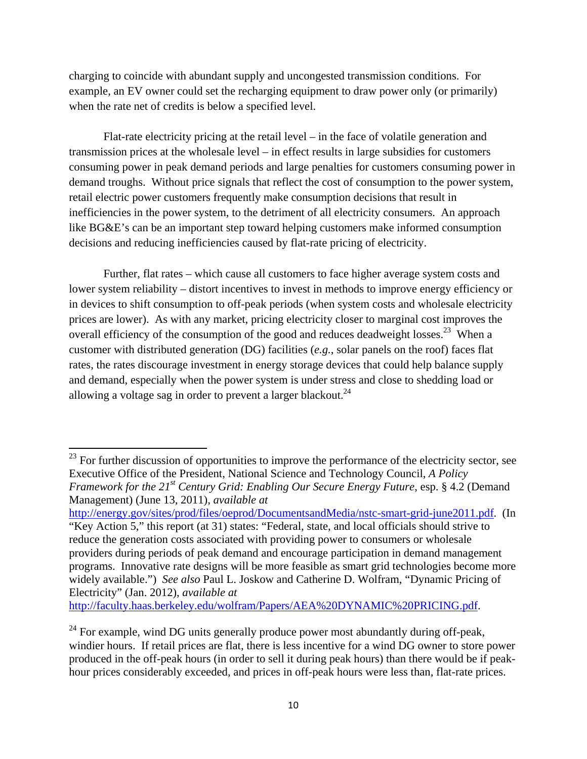charging to coincide with abundant supply and uncongested transmission conditions. For example, an EV owner could set the recharging equipment to draw power only (or primarily) when the rate net of credits is below a specified level.

Flat-rate electricity pricing at the retail level – in the face of volatile generation and transmission prices at the wholesale level – in effect results in large subsidies for customers consuming power in peak demand periods and large penalties for customers consuming power in demand troughs. Without price signals that reflect the cost of consumption to the power system, retail electric power customers frequently make consumption decisions that result in inefficiencies in the power system, to the detriment of all electricity consumers. An approach like BG&E's can be an important step toward helping customers make informed consumption decisions and reducing inefficiencies caused by flat-rate pricing of electricity.

Further, flat rates – which cause all customers to face higher average system costs and lower system reliability – distort incentives to invest in methods to improve energy efficiency or in devices to shift consumption to off-peak periods (when system costs and wholesale electricity prices are lower). As with any market, pricing electricity closer to marginal cost improves the overall efficiency of the consumption of the good and reduces deadweight losses.<sup>23</sup> When a customer with distributed generation (DG) facilities (*e.g.*, solar panels on the roof) faces flat rates, the rates discourage investment in energy storage devices that could help balance supply and demand, especially when the power system is under stress and close to shedding load or allowing a voltage sag in order to prevent a larger blackout. $^{24}$ 

http://energy.gov/sites/prod/files/oeprod/DocumentsandMedia/nstc-smart-grid-june2011.pdf. (In

http://faculty.haas.berkeley.edu/wolfram/Papers/AEA%20DYNAMIC%20PRICING.pdf.

 $2<sup>23</sup>$  For further discussion of opportunities to improve the performance of the electricity sector, see Executive Office of the President, National Science and Technology Council, *A Policy Framework for the 21<sup>st</sup> Century Grid: Enabling Our Secure Energy Future*, esp. § 4.2 (Demand Management) (June 13, 2011), *available at*

<sup>&</sup>quot;Key Action 5," this report (at 31) states: "Federal, state, and local officials should strive to reduce the generation costs associated with providing power to consumers or wholesale providers during periods of peak demand and encourage participation in demand management programs. Innovative rate designs will be more feasible as smart grid technologies become more widely available.") *See also* Paul L. Joskow and Catherine D. Wolfram, "Dynamic Pricing of Electricity" (Jan. 2012), *available at*

 $^{24}$  For example, wind DG units generally produce power most abundantly during off-peak, windier hours. If retail prices are flat, there is less incentive for a wind DG owner to store power produced in the off-peak hours (in order to sell it during peak hours) than there would be if peakhour prices considerably exceeded, and prices in off-peak hours were less than, flat-rate prices.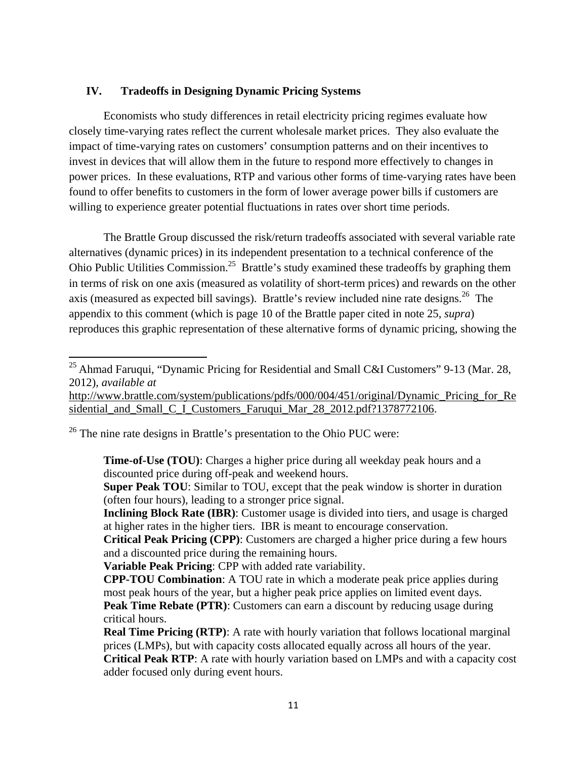### **IV. Tradeoffs in Designing Dynamic Pricing Systems**

 Economists who study differences in retail electricity pricing regimes evaluate how closely time-varying rates reflect the current wholesale market prices. They also evaluate the impact of time-varying rates on customers' consumption patterns and on their incentives to invest in devices that will allow them in the future to respond more effectively to changes in power prices. In these evaluations, RTP and various other forms of time-varying rates have been found to offer benefits to customers in the form of lower average power bills if customers are willing to experience greater potential fluctuations in rates over short time periods.

 The Brattle Group discussed the risk/return tradeoffs associated with several variable rate alternatives (dynamic prices) in its independent presentation to a technical conference of the Ohio Public Utilities Commission.<sup>25</sup> Brattle's study examined these tradeoffs by graphing them in terms of risk on one axis (measured as volatility of short-term prices) and rewards on the other axis (measured as expected bill savings). Brattle's review included nine rate designs.<sup>26</sup> The appendix to this comment (which is page 10 of the Brattle paper cited in note 25, *supra*) reproduces this graphic representation of these alternative forms of dynamic pricing, showing the

http://www.brattle.com/system/publications/pdfs/000/004/451/original/Dynamic Pricing for Re sidential\_and\_Small\_C\_I\_Customers\_Faruqui\_Mar\_28\_2012.pdf?1378772106.

 $26$  The nine rate designs in Brattle's presentation to the Ohio PUC were:

**Time-of-Use (TOU)**: Charges a higher price during all weekday peak hours and a discounted price during off-peak and weekend hours.

**Super Peak TOU**: Similar to TOU, except that the peak window is shorter in duration (often four hours), leading to a stronger price signal.

**Inclining Block Rate (IBR):** Customer usage is divided into tiers, and usage is charged at higher rates in the higher tiers. IBR is meant to encourage conservation.

**Critical Peak Pricing (CPP)**: Customers are charged a higher price during a few hours and a discounted price during the remaining hours.

**Variable Peak Pricing**: CPP with added rate variability.

**CPP-TOU Combination**: A TOU rate in which a moderate peak price applies during most peak hours of the year, but a higher peak price applies on limited event days. **Peak Time Rebate (PTR):** Customers can earn a discount by reducing usage during critical hours.

<sup>&</sup>lt;sup>25</sup> Ahmad Faruqui, "Dynamic Pricing for Residential and Small C&I Customers" 9-13 (Mar. 28, 2012), *available at*

**Real Time Pricing (RTP):** A rate with hourly variation that follows locational marginal prices (LMPs), but with capacity costs allocated equally across all hours of the year. **Critical Peak RTP**: A rate with hourly variation based on LMPs and with a capacity cost adder focused only during event hours.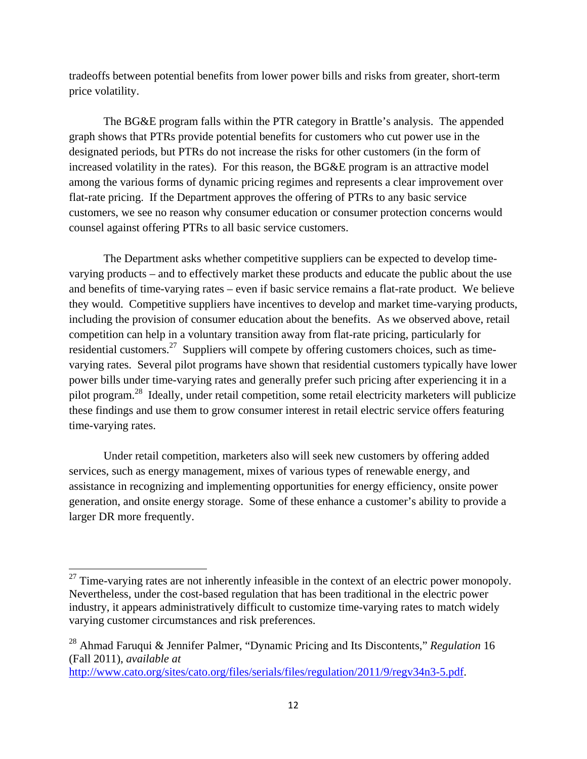tradeoffs between potential benefits from lower power bills and risks from greater, short-term price volatility.

 The BG&E program falls within the PTR category in Brattle's analysis. The appended graph shows that PTRs provide potential benefits for customers who cut power use in the designated periods, but PTRs do not increase the risks for other customers (in the form of increased volatility in the rates). For this reason, the BG&E program is an attractive model among the various forms of dynamic pricing regimes and represents a clear improvement over flat-rate pricing. If the Department approves the offering of PTRs to any basic service customers, we see no reason why consumer education or consumer protection concerns would counsel against offering PTRs to all basic service customers.

The Department asks whether competitive suppliers can be expected to develop timevarying products – and to effectively market these products and educate the public about the use and benefits of time-varying rates – even if basic service remains a flat-rate product. We believe they would. Competitive suppliers have incentives to develop and market time-varying products, including the provision of consumer education about the benefits. As we observed above, retail competition can help in a voluntary transition away from flat-rate pricing, particularly for residential customers.<sup>27</sup> Suppliers will compete by offering customers choices, such as timevarying rates. Several pilot programs have shown that residential customers typically have lower power bills under time-varying rates and generally prefer such pricing after experiencing it in a pilot program.28 Ideally, under retail competition, some retail electricity marketers will publicize these findings and use them to grow consumer interest in retail electric service offers featuring time-varying rates.

Under retail competition, marketers also will seek new customers by offering added services, such as energy management, mixes of various types of renewable energy, and assistance in recognizing and implementing opportunities for energy efficiency, onsite power generation, and onsite energy storage. Some of these enhance a customer's ability to provide a larger DR more frequently.

 $27$  Time-varying rates are not inherently infeasible in the context of an electric power monopoly. Nevertheless, under the cost-based regulation that has been traditional in the electric power industry, it appears administratively difficult to customize time-varying rates to match widely varying customer circumstances and risk preferences.

<sup>28</sup> Ahmad Faruqui & Jennifer Palmer, "Dynamic Pricing and Its Discontents," *Regulation* 16 (Fall 2011), *available at*

http://www.cato.org/sites/cato.org/files/serials/files/regulation/2011/9/regv34n3-5.pdf.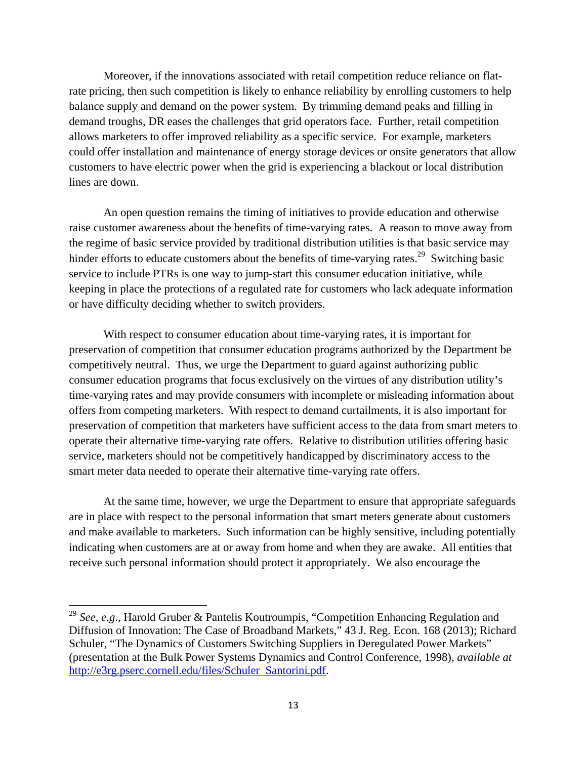Moreover, if the innovations associated with retail competition reduce reliance on flatrate pricing, then such competition is likely to enhance reliability by enrolling customers to help balance supply and demand on the power system. By trimming demand peaks and filling in demand troughs, DR eases the challenges that grid operators face. Further, retail competition allows marketers to offer improved reliability as a specific service. For example, marketers could offer installation and maintenance of energy storage devices or onsite generators that allow customers to have electric power when the grid is experiencing a blackout or local distribution lines are down.

 An open question remains the timing of initiatives to provide education and otherwise raise customer awareness about the benefits of time-varying rates. A reason to move away from the regime of basic service provided by traditional distribution utilities is that basic service may hinder efforts to educate customers about the benefits of time-varying rates.<sup>29</sup> Switching basic service to include PTRs is one way to jump-start this consumer education initiative, while keeping in place the protections of a regulated rate for customers who lack adequate information or have difficulty deciding whether to switch providers.

With respect to consumer education about time-varying rates, it is important for preservation of competition that consumer education programs authorized by the Department be competitively neutral. Thus, we urge the Department to guard against authorizing public consumer education programs that focus exclusively on the virtues of any distribution utility's time-varying rates and may provide consumers with incomplete or misleading information about offers from competing marketers. With respect to demand curtailments, it is also important for preservation of competition that marketers have sufficient access to the data from smart meters to operate their alternative time-varying rate offers. Relative to distribution utilities offering basic service, marketers should not be competitively handicapped by discriminatory access to the smart meter data needed to operate their alternative time-varying rate offers.

At the same time, however, we urge the Department to ensure that appropriate safeguards are in place with respect to the personal information that smart meters generate about customers and make available to marketers. Such information can be highly sensitive, including potentially indicating when customers are at or away from home and when they are awake. All entities that receive such personal information should protect it appropriately. We also encourage the

<sup>29</sup> *See*, *e.g*., Harold Gruber & Pantelis Koutroumpis, "Competition Enhancing Regulation and Diffusion of Innovation: The Case of Broadband Markets," 43 J. Reg. Econ. 168 (2013); Richard Schuler, "The Dynamics of Customers Switching Suppliers in Deregulated Power Markets" (presentation at the Bulk Power Systems Dynamics and Control Conference, 1998), *available at* http://e3rg.pserc.cornell.edu/files/Schuler Santorini.pdf.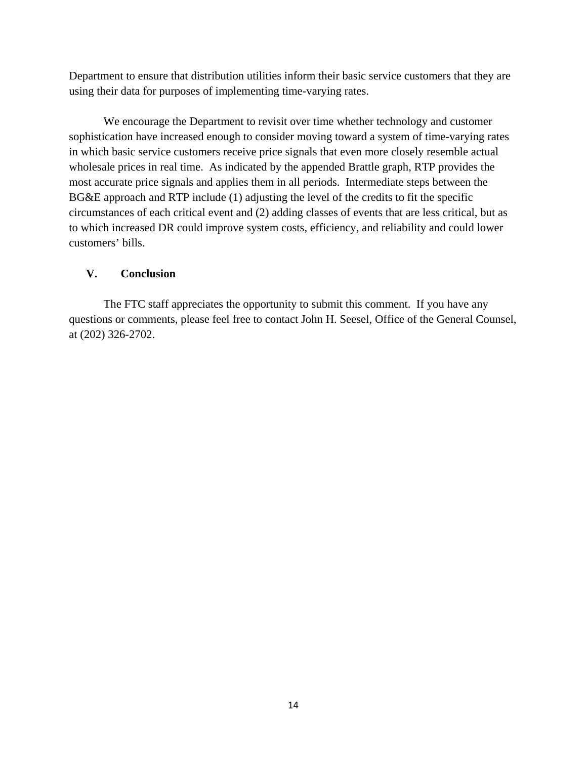Department to ensure that distribution utilities inform their basic service customers that they are using their data for purposes of implementing time-varying rates.

 We encourage the Department to revisit over time whether technology and customer sophistication have increased enough to consider moving toward a system of time-varying rates in which basic service customers receive price signals that even more closely resemble actual wholesale prices in real time. As indicated by the appended Brattle graph, RTP provides the most accurate price signals and applies them in all periods. Intermediate steps between the BG&E approach and RTP include (1) adjusting the level of the credits to fit the specific circumstances of each critical event and (2) adding classes of events that are less critical, but as to which increased DR could improve system costs, efficiency, and reliability and could lower customers' bills.

## **V. Conclusion**

The FTC staff appreciates the opportunity to submit this comment. If you have any questions or comments, please feel free to contact John H. Seesel, Office of the General Counsel, at (202) 326-2702.